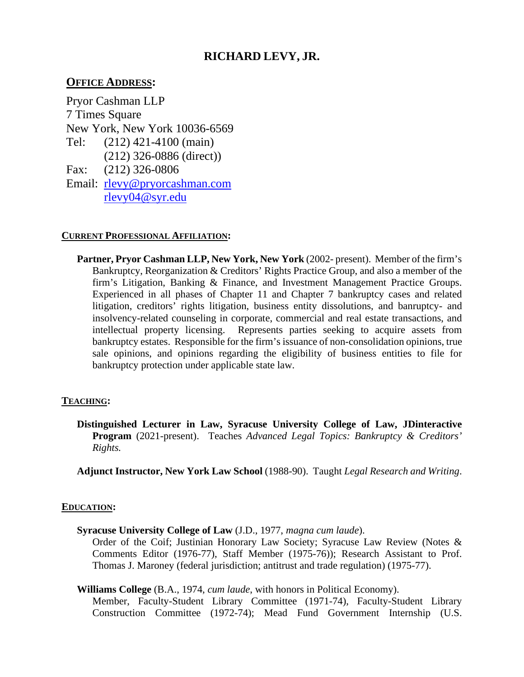# **RICHARD LEVY, JR.**

## **OFFICE ADDRESS:**

 Pryor Cashman LLP 7 Times Square New York, New York 10036-6569 Tel: (212) 326-0886 (direct)) Fax:  $(212)$  421-4100 (main)  $(212)$  326-0806 Email: [rlevy@pryorcashman.com](mailto:rlevy@pryorcashman.com) [rlevy04@syr.edu](mailto:rlevy04@syr.edu)

### **CURRENT PROFESSIONAL AFFILIATION:**

Partner, Pryor Cashman LLP, New York, New York (2002- present). Member of the firm's Bankruptcy, Reorganization & Creditors' Rights Practice Group, and also a member of the firm's Litigation, Banking & Finance, and Investment Management Practice Groups. Experienced in all phases of Chapter 11 and Chapter 7 bankruptcy cases and related insolvency-related counseling in corporate, commercial and real estate transactions, and intellectual property licensing. Represents parties seeking to acquire assets from bankruptcy estates. Responsible for the firm's issuance of non-consolidation opinions, true sale opinions, and opinions regarding the eligibility of business entities to file for litigation, creditors' rights litigation, business entity dissolutions, and banruptcy- and bankruptcy protection under applicable state law.

## **TEACHING:**

 **Distinguished Lecturer in Law, Syracuse University College of Law, JDinteractive**   **Program** (2021-present). Teaches *Advanced Legal Topics: Bankruptcy & Creditors' Rights.* 

 **Adjunct Instructor, New York Law School** (1988-90). Taught *Legal Research and Writing*.

#### **EDUCATION:**

**Syracuse University College of Law** (J.D., 1977, *magna cum laude*).

 Order of the Coif; Justinian Honorary Law Society; Syracuse Law Review (Notes & Comments Editor (1976-77), Staff Member (1975-76)); Research Assistant to Prof. Thomas J. Maroney (federal jurisdiction; antitrust and trade regulation) (1975-77).

**Williams College** (B.A., 1974, *cum laude*, with honors in Political Economy).

 Member, Faculty-Student Library Committee (1971-74), Faculty-Student Library Construction Committee (1972-74); Mead Fund Government Internship (U.S.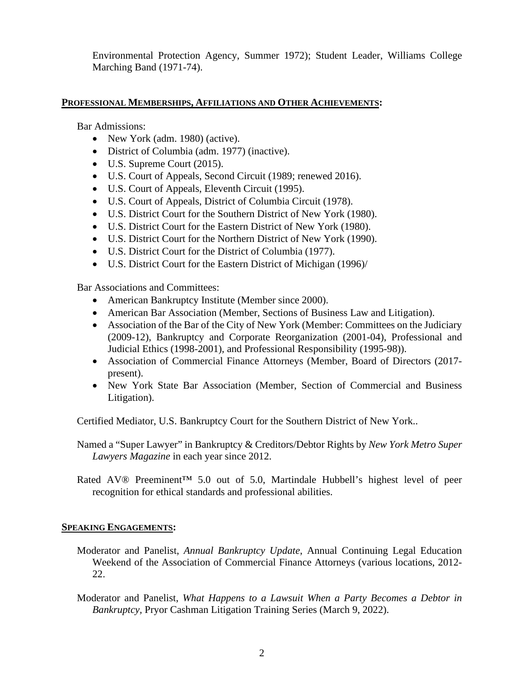Environmental Protection Agency, Summer 1972); Student Leader, Williams College Marching Band (1971-74).

## **PROFESSIONAL MEMBERSHIPS, AFFILIATIONS AND OTHER ACHIEVEMENTS:**

Bar Admissions:

- New York (adm. 1980) (active).
- District of Columbia (adm. 1977) (inactive).
- U.S. Supreme Court (2015).
- U.S. Court of Appeals, Second Circuit (1989; renewed 2016).
- U.S. Court of Appeals, Eleventh Circuit (1995).
- U.S. Court of Appeals, District of Columbia Circuit (1978).
- U.S. District Court for the Southern District of New York (1980).
- U.S. District Court for the Eastern District of New York (1980).
- U.S. District Court for the Northern District of New York (1990).
- U.S. District Court for the District of Columbia (1977).
- U.S. District Court for the Eastern District of Michigan (1996)/

Bar Associations and Committees:

- American Bankruptcy Institute (Member since 2000).
- American Bar Association (Member, Sections of Business Law and Litigation).
- Association of the Bar of the City of New York (Member: Committees on the Judiciary (2009-12), Bankruptcy and Corporate Reorganization (2001-04), Professional and Judicial Ethics (1998-2001), and Professional Responsibility (1995-98)).
- Association of Commercial Finance Attorneys (Member, Board of Directors (2017 present).
- New York State Bar Association (Member, Section of Commercial and Business Litigation).

Certified Mediator, U.S. Bankruptcy Court for the Southern District of New York..

 Named a "Super Lawyer" in Bankruptcy & Creditors/Debtor Rights by *New York Metro Super Lawyers Magazine* in each year since 2012.

 Rated AV® Preeminent™ 5.0 out of 5.0, Martindale Hubbell's highest level of peer recognition for ethical standards and professional abilities.

## **SPEAKING ENGAGEMENTS:**

- Weekend of the Association of Commercial Finance Attorneys (various locations, 2012- Moderator and Panelist, *Annual Bankruptcy Update*, Annual Continuing Legal Education 22.
- Moderator and Panelist, *What Happens to a Lawsuit When a Party Becomes a Debtor in Bankruptcy,* Pryor Cashman Litigation Training Series (March 9, 2022).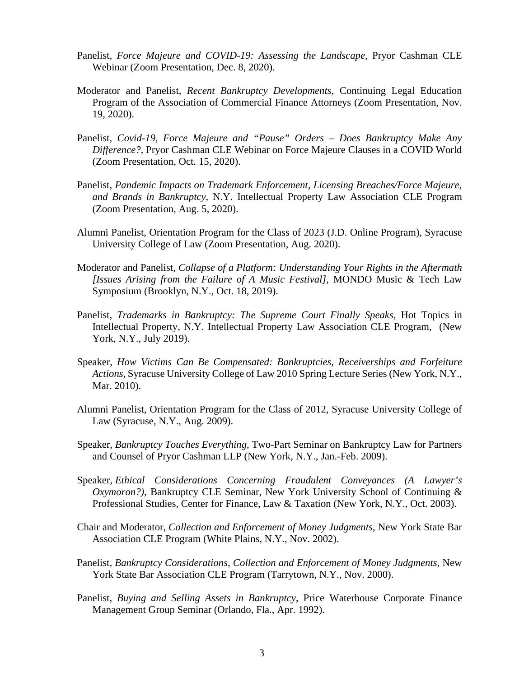- Panelist, Force Majeure and COVID-19: Assessing the Landscape, Pryor Cashman CLE Webinar (Zoom Presentation, Dec. 8, 2020).
- Moderator and Panelist, *Recent Bankruptcy Developments,* Continuing Legal Education Program of the Association of Commercial Finance Attorneys (Zoom Presentation, Nov. 19, 2020).
- Panelist, *Covid-19, Force Majeure and "Pause" Orders Does Bankruptcy Make Any Difference?,* Pryor Cashman CLE Webinar on Force Majeure Clauses in a COVID World (Zoom Presentation, Oct. 15, 2020).
- Panelist, Pandemic Impacts on Trademark Enforcement, Licensing Breaches/Force Majeure, *and Brands in Bankruptcy*, N.Y. Intellectual Property Law Association CLE Program (Zoom Presentation, Aug. 5, 2020).
- Alumni Panelist, Orientation Program for the Class of 2023 (J.D. Online Program), Syracuse University College of Law (Zoom Presentation, Aug. 2020).
- Moderator and Panelist, *Collapse of a Platform: Understanding Your Rights in the Aftermath [Issues Arising from the Failure of A Music Festival],* MONDO Music & Tech Law Symposium (Brooklyn, N.Y., Oct. 18, 2019).
- Panelist, *Trademarks in Bankruptcy: The Supreme Court Finally Speaks*, Hot Topics in Intellectual Property, N.Y. Intellectual Property Law Association CLE Program, (New York, N.Y., July 2019).
- Speaker, *How Victims Can Be Compensated: Bankruptcies, Receiverships and Forfeiture Actions,* Syracuse University College of Law 2010 Spring Lecture Series (New York, N.Y., Mar. 2010).
- Alumni Panelist, Orientation Program for the Class of 2012, Syracuse University College of Law (Syracuse, N.Y., Aug. 2009).
- Speaker, *Bankruptcy Touches Everything*, Two-Part Seminar on Bankruptcy Law for Partners and Counsel of Pryor Cashman LLP (New York, N.Y., Jan.-Feb. 2009).
- *Oxymoron?)*, Bankruptcy CLE Seminar, New York University School of Continuing & Speaker, *Ethical Considerations Concerning Fraudulent Conveyances (A Lawyer's*  Professional Studies, Center for Finance, Law & Taxation (New York, N.Y., Oct. 2003).
- Chair and Moderator, *Collection and Enforcement of Money Judgments*, New York State Bar Association CLE Program (White Plains, N.Y., Nov. 2002).
- Panelist, *Bankruptcy Considerations, Collection and Enforcement of Money Judgments*, New York State Bar Association CLE Program (Tarrytown, N.Y., Nov. 2000).
- Panelist, *Buying and Selling Assets in Bankruptcy*, Price Waterhouse Corporate Finance Management Group Seminar (Orlando, Fla., Apr. 1992).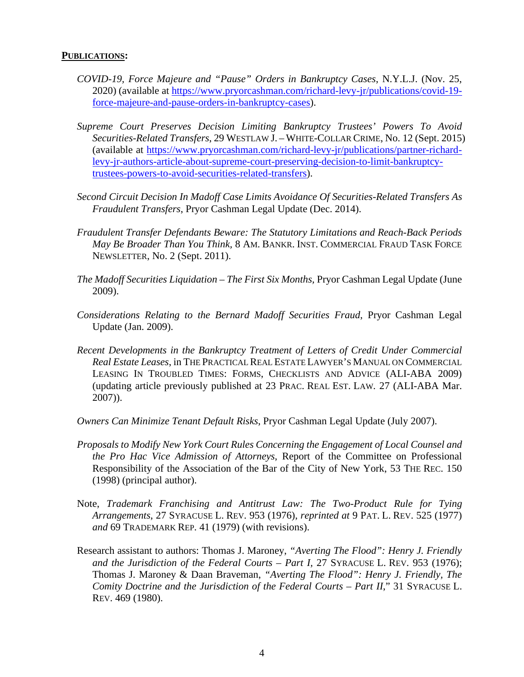#### **PUBLICATIONS:**

- *COVID-19, Force Majeure and "Pause" Orders in Bankruptcy Cases*, N.Y.L.J. (Nov. 25, 2020) (available at [https://www.pryorcashman.com/richard-levy-jr/publications/covid-19](https://www.pryorcashman.com/richard-levy-jr/publications/covid-19-force-majeure-and-pause-orders-in-bankruptcy-cases) [force-majeure-and-pause-orders-in-bankruptcy-cases\).](https://www.pryorcashman.com/richard-levy-jr/publications/covid-19-force-majeure-and-pause-orders-in-bankruptcy-cases)
- *Supreme Court Preserves Decision Limiting Bankruptcy Trustees' Powers To Avoid*  (available at [https://www.pryorcashman.com/richard-levy-jr/publications/partner-richard-](https://www.pryorcashman.com/richard-levy-jr/publications/partner-richard-levy-jr-authors-article-about-supreme-court-preserving-decision-to-limit-bankruptcy-trustees-powers-to-avoid-securities-related-transfers)*Securities-Related Transfers*, 29 WESTLAW J. – WHITE-COLLAR CRIME, No. 12 (Sept. 2015) [levy-jr-authors-article-about-supreme-court-preserving-decision-to-limit-bankruptcy](https://www.pryorcashman.com/richard-levy-jr/publications/partner-richard-levy-jr-authors-article-about-supreme-court-preserving-decision-to-limit-bankruptcy-trustees-powers-to-avoid-securities-related-transfers)[trustees-powers-to-avoid-securities-related-transfers\).](https://www.pryorcashman.com/richard-levy-jr/publications/partner-richard-levy-jr-authors-article-about-supreme-court-preserving-decision-to-limit-bankruptcy-trustees-powers-to-avoid-securities-related-transfers)
- *Second Circuit Decision In Madoff Case Limits Avoidance Of Securities-Related Transfers As Fraudulent Transfers*, Pryor Cashman Legal Update (Dec. 2014).
- *[Fraudulent Transfer Defendants Beware: The Statutory Limitations and Reach-Back Periods](http://www.pryorcashman.com/assets/attachments/705.pdf)  May Be Broader Than You Think,* [8 AM. BANKR. INST. COMMERCIAL FRAUD TASK FORCE](http://www.pryorcashman.com/assets/attachments/705.pdf)  NEWSLETTER, No. 2 (Sept. 2011).
- *The Madoff Securities Liquidation The First Six Months,* Pryor Cashman Legal Update (June 2009).
- *Considerations Relating to the Bernard Madoff Securities Fraud*, Pryor Cashman Legal Update (Jan. 2009).
- *Recent Developments in the Bankruptcy Treatment of Letters of Credit Under Commercial Real Estate Leases*, in THE PRACTICAL REAL ESTATE LAWYER'S MANUAL ON COMMERCIAL LEASING IN TROUBLED TIMES: FORMS, CHECKLISTS AND ADVICE (ALI-ABA 2009) (updating article previously published at 23 PRAC. REAL EST. LAW*.* 27 (ALI-ABA Mar. 2007)).
- *Owners Can Minimize Tenant Default Risks*, Pryor Cashman Legal Update (July 2007).
- *Proposals to Modify New York Court Rules Concerning the Engagement of Local Counsel and the Pro Hac Vice Admission of Attorneys*, Report of the Committee on Professional Responsibility of the Association of the Bar of the City of New York, 53 THE REC. 150 (1998) (principal author).
- Note, *Trademark Franchising and Antitrust Law: The Two-Product Rule for Tying Arrangements*, 27 SYRACUSE L. REV. 953 (1976), *reprinted at* 9 PAT. L. REV. 525 (1977) *and* 69 TRADEMARK REP. 41 (1979) (with revisions).
- Research assistant to authors: Thomas J. Maroney, *"Averting The Flood": Henry J. Friendly and the Jurisdiction of the Federal Courts – Part I,* 27 SYRACUSE L. REV. 953 (1976); Thomas J. Maroney & Daan Braveman, *"Averting The Flood": Henry J. Friendly, The Comity Doctrine and the Jurisdiction of the Federal Courts – Part II*," 31 SYRACUSE L. REV. 469 (1980).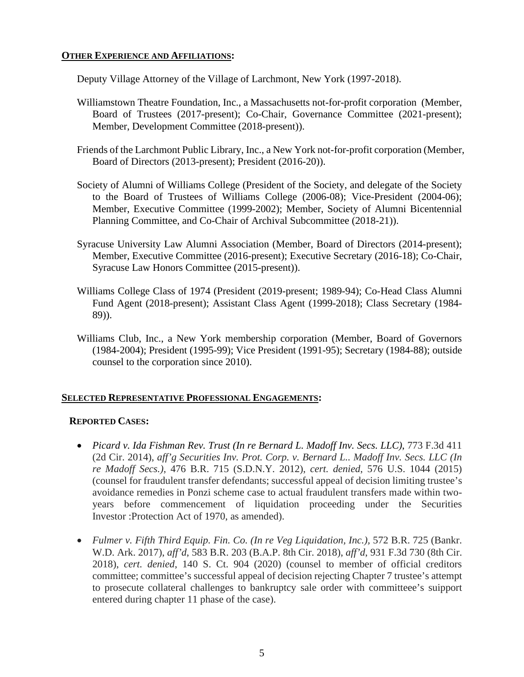## **OTHER EXPERIENCE AND AFFILIATIONS:**

Deputy Village Attorney of the Village of Larchmont, New York (1997-2018).

- Williamstown Theatre Foundation, Inc., a Massachusetts not-for-profit corporation (Member, Board of Trustees (2017-present); Co-Chair, Governance Committee (2021-present); Member, Development Committee (2018-present)).
- Friends of the Larchmont Public Library, Inc., a New York not-for-profit corporation (Member, Board of Directors (2013-present); President (2016-20)).
- Society of Alumni of Williams College (President of the Society, and delegate of the Society to the Board of Trustees of Williams College (2006-08); Vice-President (2004-06); Member, Executive Committee (1999-2002); Member, Society of Alumni Bicentennial Planning Committee, and Co-Chair of Archival Subcommittee (2018-21)).
- Syracuse University Law Alumni Association (Member, Board of Directors (2014-present); Member, Executive Committee (2016-present); Executive Secretary (2016-18); Co-Chair, Syracuse Law Honors Committee (2015-present)).
- Williams College Class of 1974 (President (2019-present; 1989-94); Co-Head Class Alumni Fund Agent (2018-present); Assistant Class Agent (1999-2018); Class Secretary (1984- 89)).
- Williams Club, Inc., a New York membership corporation (Member, Board of Governors (1984-2004); President (1995-99); Vice President (1991-95); Secretary (1984-88); outside counsel to the corporation since 2010).

## **SELECTED REPRESENTATIVE PROFESSIONAL ENGAGEMENTS:**

## **REPORTED CASES:**

- *Picard v. Ida Fishman Rev. Trust (In re Bernard L. Madoff Inv. Secs. LLC)*, 773 F.3d 411  (2d Cir. 2014), *aff'g Securities Inv. Prot. Corp. v. Bernard L.. Madoff Inv. Secs. LLC (In re Madoff Secs.)*, 476 B.R. 715 (S.D.N.Y. 2012), *cert. denied*, 576 U.S. 1044 (2015) (counsel for fraudulent transfer defendants; successful appeal of decision limiting trustee's avoidance remedies in Ponzi scheme case to actual fraudulent transfers made within two- years before commencement of liquidation proceeding under the Securities Investor :Protection Act of 1970, as amended).
- 2018), *cert. denied*, 140 S. Ct. 904 (2020) (counsel to member of official creditors committee; committee's successful appeal of decision rejecting Chapter 7 trustee's attempt to prosecute collateral challenges to bankruptcy sale order with committeee's suipport *Fulmer v. Fifth Third Equip. Fin. Co. (In re Veg Liquidation, Inc.),* 572 B.R. 725 (Bankr. W.D. Ark. 2017), *aff'd*, 583 B.R. 203 (B.A.P. 8th Cir. 2018), *aff'd*, 931 F.3d 730 (8th Cir. entered during chapter 11 phase of the case).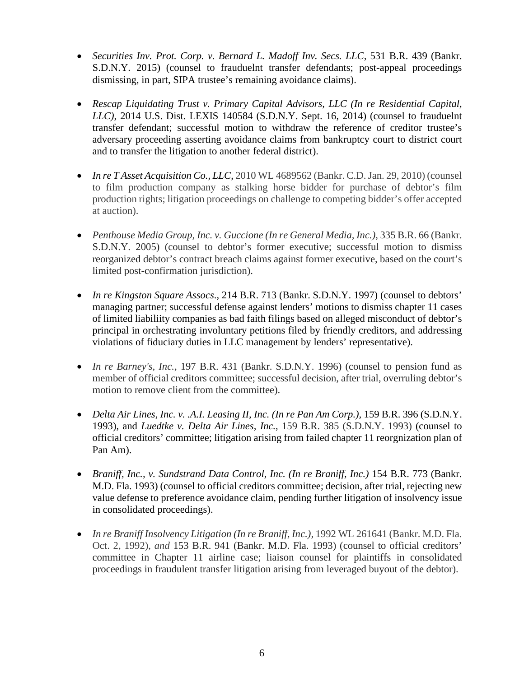- Securities Inv. Prot. Corp. v. Bernard L. Madoff Inv. Secs. LLC, 531 B.R. 439 (Bankr. S.D.N.Y. 2015) (counsel to frauduelnt transfer defendants; post-appeal proceedings dismissing, in part, SIPA trustee's remaining avoidance claims).
- **•** Rescap Liquidating Trust v. Primary Capital Advisors, LLC (In re Residential Capital, *LLC)*, 2014 U.S. Dist. LEXIS 140584 (S.D.N.Y. Sept. 16, 2014) (counsel to frauduelnt transfer defendant; successful motion to withdraw the reference of creditor trustee's adversary proceeding asserting avoidance claims from bankruptcy court to district court and to transfer the litigation to another federal district).
- *In re T Asset Acquisition Co., LLC, 2010 WL 4689562 (Bankr. C.D. Jan. 29, 2010) (counsel*  to film production company as stalking horse bidder for purchase of debtor's film production rights; litigation proceedings on challenge to competing bidder's offer accepted at auction).
- *Penthouse Media Group, Inc. v. Guccione (In re General Media, Inc.)*, 335 B.R. 66 (Bankr. S.D.N.Y. 2005) (counsel to debtor's former executive; successful motion to dismiss reorganized debtor's contract breach claims against former executive, based on the court's limited post-confirmation jurisdiction).
- managing partner; successful defense against lenders' motions to dismiss chapter 11 cases of limited liabiliity companies as bad faith filings based on alleged misconduct of debtor's *In re Kingston Square Assocs*., 214 B.R. 713 (Bankr. S.D.N.Y. 1997) (counsel to debtors' principal in orchestrating involuntary petitions filed by friendly creditors, and addressing violations of fiduciary duties in LLC management by lenders' representative).
- *In re Barney's, Inc.,* 197 B.R. 431 (Bankr. S.D.N.Y. 1996) (counsel to pension fund as member of official creditors committee; successful decision, after trial, overruling debtor's motion to remove client from the committee).
- Delta Air Lines, Inc. v. .A.I. Leasing II, Inc. (In re Pan Am Corp.), 159 B.R. 396 (S.D.N.Y. 1993), and *Luedtke v. Delta Air Lines, Inc.*, 159 B.R. 385 (S.D.N.Y. 1993) (counsel to official creditors' committee; litigation arising from failed chapter 11 reorgnization plan of Pan Am).
- M.D. Fla. 1993) (counsel to official creditors committee; decision, after trial, rejecting new value defense to preference avoidance claim, pending further litigation of insolvency issue *Braniff, Inc., v. Sundstrand Data Control, Inc. (In re Braniff, Inc.)* 154 B.R. 773 (Bankr. in consolidated proceedings).
- In re Braniff Insolvency Litigation (In re Braniff, Inc.), 1992 WL 261641 (Bankr. M.D. Fla. Oct. 2, 1992), *and* 153 B.R. 941 (Bankr. M.D. Fla. 1993) (counsel to official creditors' committee in Chapter 11 airline case; liaison counsel for plaintiffs in consolidated proceedings in fraudulent transfer litigation arising from leveraged buyout of the debtor).